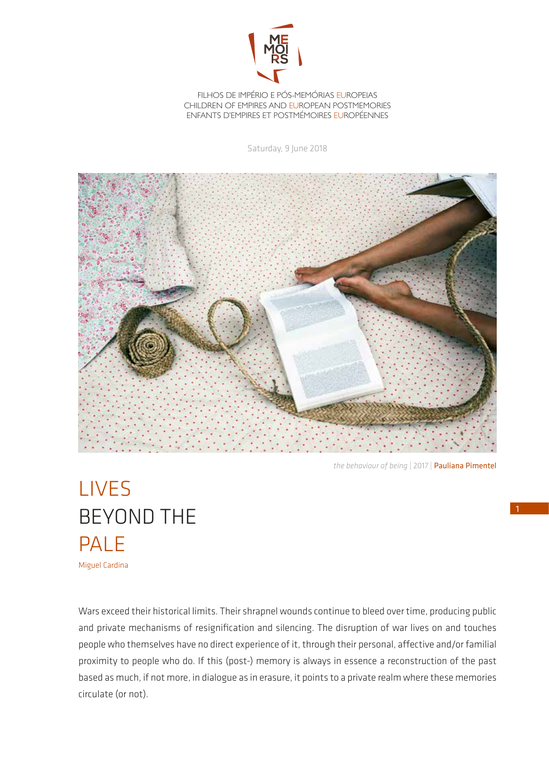

## FILHOS DE IMPÉRIO E PÓS-MEMÓRIAS EUROPEIAS CHILDREN OF EMPIRES AND EUROPEAN POSTMEMORIES ENFANTS D'EMPIRES ET POSTMÉMOIRES EUROPÉENNES

Saturday, 9 June 2018



*the behaviour of being* | 2017 | Pauliana Pimentel

## LIVES BEYOND THE PALE Miguel Cardina

Wars exceed their historical limits. Their shrapnel wounds continue to bleed over time, producing public and private mechanisms of resignification and silencing. The disruption of war lives on and touches people who themselves have no direct experience of it, through their personal, affective and/or familial proximity to people who do. If this (post-) memory is always in essence a reconstruction of the past based as much, if not more, in dialogue as in erasure, it points to a private realm where these memories circulate (or not).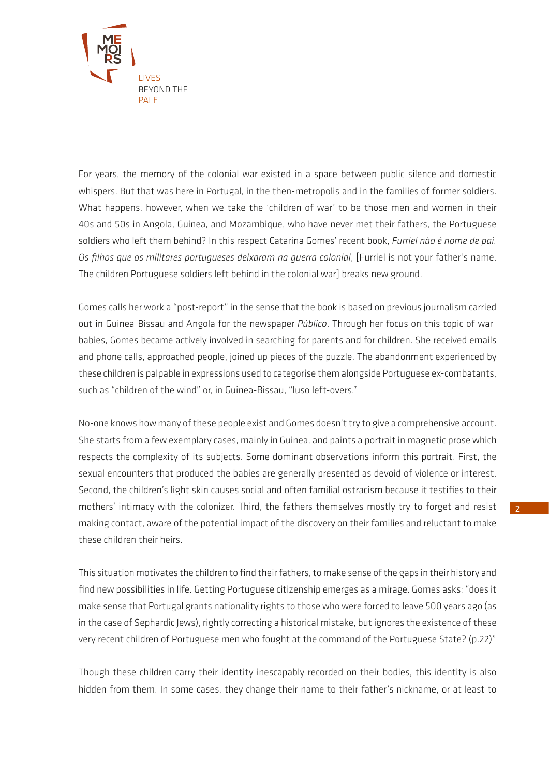

For years, the memory of the colonial war existed in a space between public silence and domestic whispers. But that was here in Portugal, in the then-metropolis and in the families of former soldiers. What happens, however, when we take the 'children of war' to be those men and women in their 40s and 50s in Angola, Guinea, and Mozambique, who have never met their fathers, the Portuguese soldiers who left them behind? In this respect Catarina Gomes' recent book, *Furriel não é nome de pai. Os filhos que os militares portugueses deixaram na guerra colonial*, [Furriel is not your father's name. The children Portuguese soldiers left behind in the colonial war] breaks new ground.

Gomes calls her work a "post-report" in the sense that the book is based on previous journalism carried out in Guinea-Bissau and Angola for the newspaper *Público*. Through her focus on this topic of warbabies, Gomes became actively involved in searching for parents and for children. She received emails and phone calls, approached people, joined up pieces of the puzzle. The abandonment experienced by these children is palpable in expressions used to categorise them alongside Portuguese ex-combatants, such as "children of the wind" or, in Guinea-Bissau, "luso left-overs."

No-one knows how many of these people exist and Gomes doesn't try to give a comprehensive account. She starts from a few exemplary cases, mainly in Guinea, and paints a portrait in magnetic prose which respects the complexity of its subjects. Some dominant observations inform this portrait. First, the sexual encounters that produced the babies are generally presented as devoid of violence or interest. Second, the children's light skin causes social and often familial ostracism because it testifies to their mothers' intimacy with the colonizer. Third, the fathers themselves mostly try to forget and resist making contact, aware of the potential impact of the discovery on their families and reluctant to make these children their heirs.

This situation motivates the children to find their fathers, to make sense of the gaps in their history and find new possibilities in life. Getting Portuguese citizenship emerges as a mirage. Gomes asks: "does it make sense that Portugal grants nationality rights to those who were forced to leave 500 years ago (as in the case of Sephardic Jews), rightly correcting a historical mistake, but ignores the existence of these very recent children of Portuguese men who fought at the command of the Portuguese State? (p.22)"

Though these children carry their identity inescapably recorded on their bodies, this identity is also hidden from them. In some cases, they change their name to their father's nickname, or at least to